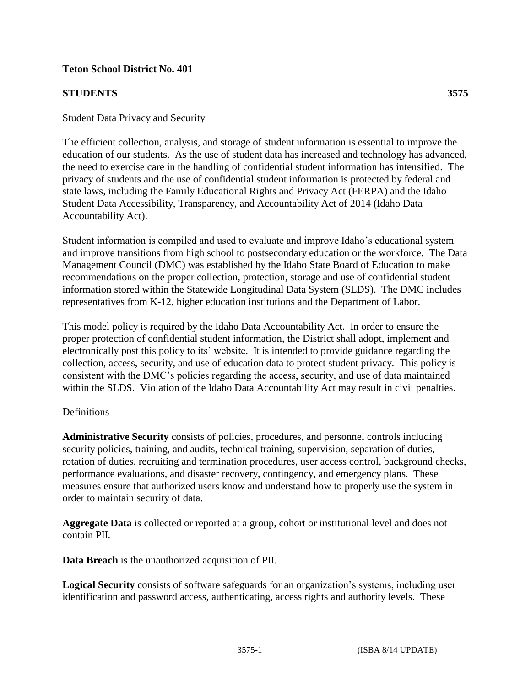### **Teton School District No. 401**

### **STUDENTS 3575**

The efficient collection, analysis, and storage of student information is essential to improve the education of our students. As the use of student data has increased and technology has advanced, the need to exercise care in the handling of confidential student information has intensified. The privacy of students and the use of confidential student information is protected by federal and state laws, including the Family Educational Rights and Privacy Act (FERPA) and the Idaho Student Data Accessibility, Transparency, and Accountability Act of 2014 (Idaho Data Accountability Act).

Student information is compiled and used to evaluate and improve Idaho's educational system and improve transitions from high school to postsecondary education or the workforce. The Data Management Council (DMC) was established by the Idaho State Board of Education to make recommendations on the proper collection, protection, storage and use of confidential student information stored within the Statewide Longitudinal Data System (SLDS). The DMC includes representatives from K-12, higher education institutions and the Department of Labor.

This model policy is required by the Idaho Data Accountability Act. In order to ensure the proper protection of confidential student information, the District shall adopt, implement and electronically post this policy to its' website. It is intended to provide guidance regarding the collection, access, security, and use of education data to protect student privacy. This policy is consistent with the DMC's policies regarding the access, security, and use of data maintained within the SLDS. Violation of the Idaho Data Accountability Act may result in civil penalties.

#### Definitions

**Administrative Security** consists of policies, procedures, and personnel controls including security policies, training, and audits, technical training, supervision, separation of duties, rotation of duties, recruiting and termination procedures, user access control, background checks, performance evaluations, and disaster recovery, contingency, and emergency plans. These measures ensure that authorized users know and understand how to properly use the system in order to maintain security of data.

**Aggregate Data** is collected or reported at a group, cohort or institutional level and does not contain PII.

**Data Breach** is the unauthorized acquisition of PII.

**Logical Security** consists of software safeguards for an organization's systems, including user identification and password access, authenticating, access rights and authority levels. These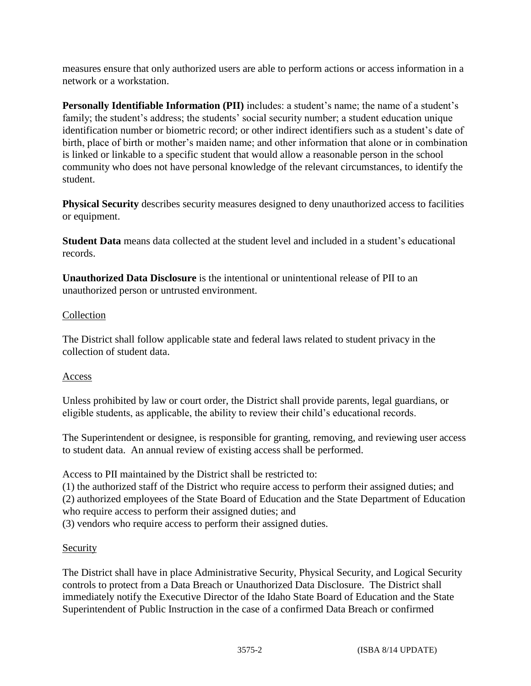measures ensure that only authorized users are able to perform actions or access information in a network or a workstation.

**Personally Identifiable Information (PII)** includes: a student's name; the name of a student's family; the student's address; the students' social security number; a student education unique identification number or biometric record; or other indirect identifiers such as a student's date of birth, place of birth or mother's maiden name; and other information that alone or in combination is linked or linkable to a specific student that would allow a reasonable person in the school community who does not have personal knowledge of the relevant circumstances, to identify the student.

**Physical Security** describes security measures designed to deny unauthorized access to facilities or equipment.

**Student Data** means data collected at the student level and included in a student's educational records.

**Unauthorized Data Disclosure** is the intentional or unintentional release of PII to an unauthorized person or untrusted environment.

## **Collection**

The District shall follow applicable state and federal laws related to student privacy in the collection of student data.

# Access

Unless prohibited by law or court order, the District shall provide parents, legal guardians, or eligible students, as applicable, the ability to review their child's educational records.

The Superintendent or designee, is responsible for granting, removing, and reviewing user access to student data. An annual review of existing access shall be performed.

Access to PII maintained by the District shall be restricted to:

(1) the authorized staff of the District who require access to perform their assigned duties; and

(2) authorized employees of the State Board of Education and the State Department of Education who require access to perform their assigned duties; and

(3) vendors who require access to perform their assigned duties.

# Security

The District shall have in place Administrative Security, Physical Security, and Logical Security controls to protect from a Data Breach or Unauthorized Data Disclosure. The District shall immediately notify the Executive Director of the Idaho State Board of Education and the State Superintendent of Public Instruction in the case of a confirmed Data Breach or confirmed